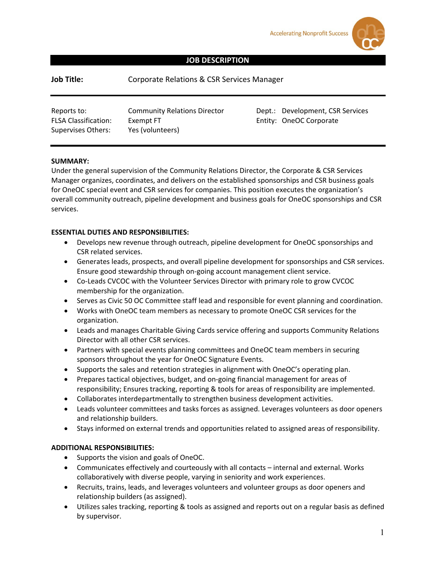**Accelerating Nonprofit Success** 

# **JOB DESCRIPTION**

| Job Title: | Corporate Relations & CSR Services Manager |
|------------|--------------------------------------------|
|------------|--------------------------------------------|

| Reports to:                 | <b>Community Relations Director</b> |
|-----------------------------|-------------------------------------|
| <b>FLSA Classification:</b> | Exempt FT                           |
| Supervises Others:          | Yes (volunteers)                    |

r **Dept.: Development, CSR Services** Entity: OneOC Corporate

## **SUMMARY:**

Under the general supervision of the Community Relations Director, the Corporate & CSR Services Manager organizes, coordinates, and delivers on the established sponsorships and CSR business goals for OneOC special event and CSR services for companies. This position executes the organization's overall community outreach, pipeline development and business goals for OneOC sponsorships and CSR services.

## **ESSENTIAL DUTIES AND RESPONSIBILITIES:**

- Develops new revenue through outreach, pipeline development for OneOC sponsorships and CSR related services.
- Generates leads, prospects, and overall pipeline development for sponsorships and CSR services. Ensure good stewardship through on-going account management client service.
- Co-Leads CVCOC with the Volunteer Services Director with primary role to grow CVCOC membership for the organization.
- Serves as Civic 50 OC Committee staff lead and responsible for event planning and coordination.
- Works with OneOC team members as necessary to promote OneOC CSR services for the organization.
- Leads and manages Charitable Giving Cards service offering and supports Community Relations Director with all other CSR services.
- Partners with special events planning committees and OneOC team members in securing sponsors throughout the year for OneOC Signature Events.
- Supports the sales and retention strategies in alignment with OneOC's operating plan.
- Prepares tactical objectives, budget, and on-going financial management for areas of responsibility; Ensures tracking, reporting & tools for areas of responsibility are implemented.
- Collaborates interdepartmentally to strengthen business development activities.
- Leads volunteer committees and tasks forces as assigned. Leverages volunteers as door openers and relationship builders.
- Stays informed on external trends and opportunities related to assigned areas of responsibility.

# **ADDITIONAL RESPONSIBILITIES:**

- Supports the vision and goals of OneOC.
- Communicates effectively and courteously with all contacts internal and external. Works collaboratively with diverse people, varying in seniority and work experiences.
- Recruits, trains, leads, and leverages volunteers and volunteer groups as door openers and relationship builders (as assigned).
- Utilizes sales tracking, reporting & tools as assigned and reports out on a regular basis as defined by supervisor.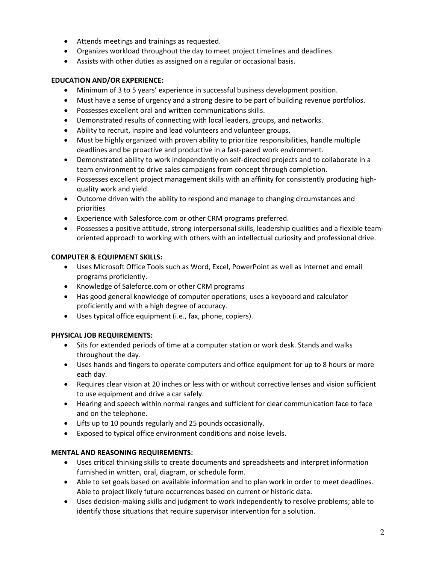- Attends meetings and trainings as requested.
- Organizes workload throughout the day to meet project timelines and deadlines.
- Assists with other duties as assigned on a regular or occasional basis.

# **EDUCATION AND/OR EXPERIENCE:**

- Minimum of 3 to 5 years' experience in successful business development position.
- Must have a sense of urgency and a strong desire to be part of building revenue portfolios.
- Possesses excellent oral and written communications skills.
- Demonstrated results of connecting with local leaders, groups, and networks.
- Ability to recruit, inspire and lead volunteers and volunteer groups.
- Must be highly organized with proven ability to prioritize responsibilities, handle multiple deadlines and be proactive and productive in a fast-paced work environment.
- Demonstrated ability to work independently on self-directed projects and to collaborate in a team environment to drive sales campaigns from concept through completion.
- Possesses excellent project management skills with an affinity for consistently producing highquality work and yield.
- Outcome driven with the ability to respond and manage to changing circumstances and priorities
- Experience with Salesforce.com or other CRM programs preferred.
- Possesses a positive attitude, strong interpersonal skills, leadership qualities and a flexible teamoriented approach to working with others with an intellectual curiosity and professional drive.

## **COMPUTER & EQUIPMENT SKILLS:**

- Uses Microsoft Office Tools such as Word, Excel, PowerPoint as well as Internet and email programs proficiently.
- Knowledge of Saleforce.com or other CRM programs
- Has good general knowledge of computer operations; uses a keyboard and calculator proficiently and with a high degree of accuracy.
- Uses typical office equipment (i.e., fax, phone, copiers).

### **PHYSICAL JOB REQUIREMENTS:**

- Sits for extended periods of time at a computer station or work desk. Stands and walks throughout the day.
- Uses hands and fingers to operate computers and office equipment for up to 8 hours or more each day.
- Requires clear vision at 20 inches or less with or without corrective lenses and vision sufficient to use equipment and drive a car safely.
- Hearing and speech within normal ranges and sufficient for clear communication face to face and on the telephone.
- Lifts up to 10 pounds regularly and 25 pounds occasionally.
- Exposed to typical office environment conditions and noise levels.

# **MENTAL AND REASONING REQUIREMENTS:**

- Uses critical thinking skills to create documents and spreadsheets and interpret information furnished in written, oral, diagram, or schedule form.
- Able to set goals based on available information and to plan work in order to meet deadlines. Able to project likely future occurrences based on current or historic data.
- Uses decision-making skills and judgment to work independently to resolve problems; able to identify those situations that require supervisor intervention for a solution.